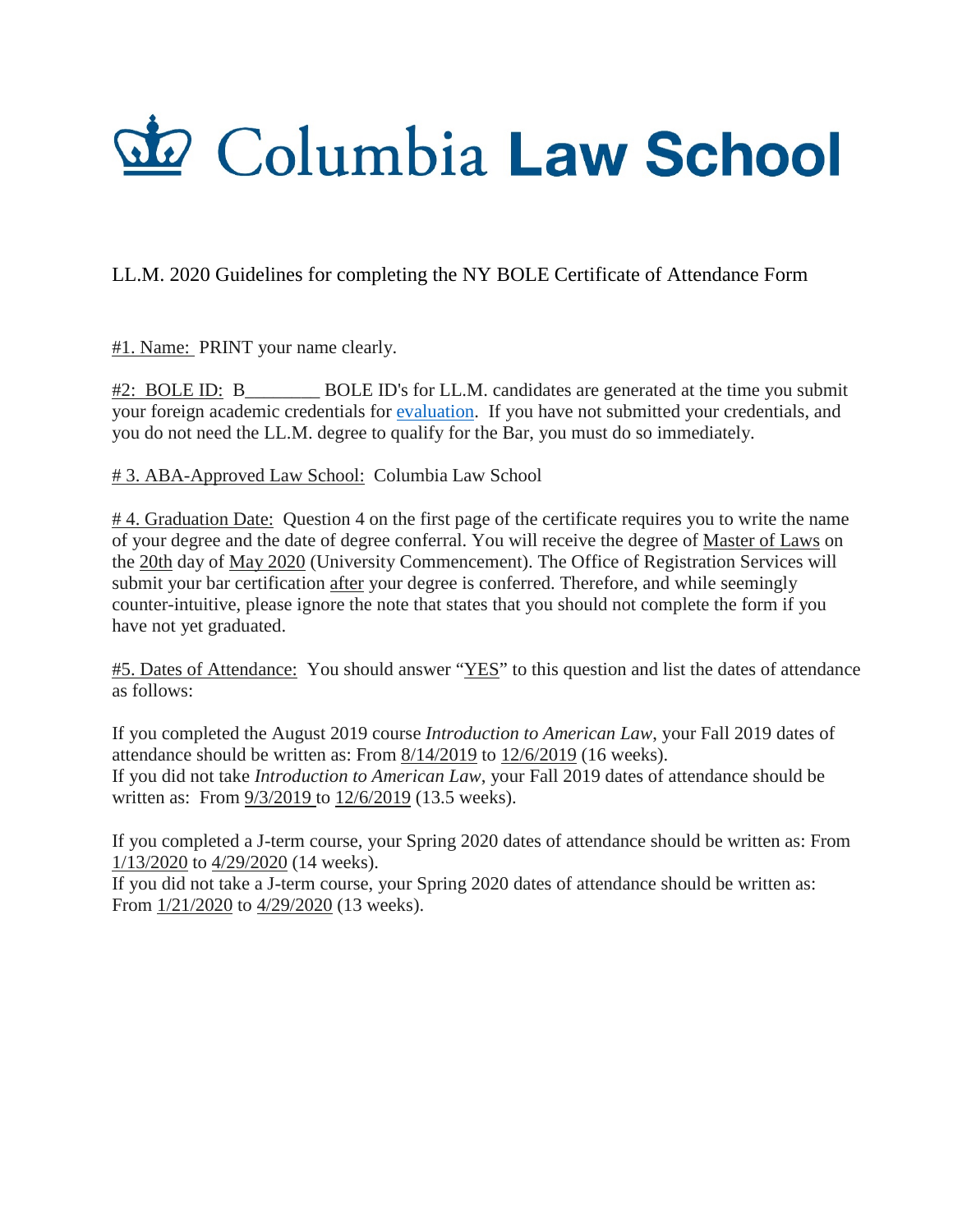## do Columbia Law School

## LL.M. 2020 Guidelines for completing the NY BOLE Certificate of Attendance Form

#1. Name: PRINT your name clearly.

#2: BOLE ID: B BOLE ID's for LL.M. candidates are generated at the time you submit your foreign academic credentials for [evaluation.](http://www.nybarexam.org/docs/eval_form.pdf) If you have not submitted your credentials, and you do not need the LL.M. degree to qualify for the Bar, you must do so immediately.

# 3. ABA-Approved Law School: Columbia Law School

# 4. Graduation Date: Question 4 on the first page of the certificate requires you to write the name of your degree and the date of degree conferral. You will receive the degree of Master of Laws on the 20th day of May 2020 (University Commencement). The Office of Registration Services will submit your bar certification after your degree is conferred. Therefore, and while seemingly counter-intuitive, please ignore the note that states that you should not complete the form if you have not yet graduated.

#5. Dates of Attendance: You should answer "YES" to this question and list the dates of attendance as follows:

If you completed the August 2019 course *Introduction to American Law*, your Fall 2019 dates of attendance should be written as: From 8/14/2019 to 12/6/2019 (16 weeks). If you did not take *Introduction to American Law*, your Fall 2019 dates of attendance should be written as: From 9/3/2019 to 12/6/2019 (13.5 weeks).

If you completed a J-term course, your Spring 2020 dates of attendance should be written as: From 1/13/2020 to 4/29/2020 (14 weeks).

If you did not take a J-term course, your Spring 2020 dates of attendance should be written as: From 1/21/2020 to 4/29/2020 (13 weeks).